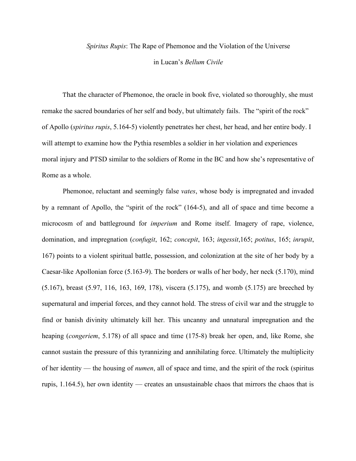## *Spiritus Rupis*: The Rape of Phemonoe and the Violation of the Universe in Lucan's *Bellum Civile*

That the character of Phemonoe, the oracle in book five, violated so thoroughly, she must remake the sacred boundaries of her self and body, but ultimately fails. The "spirit of the rock" of Apollo (*spiritus rupis*, 5.164-5) violently penetrates her chest, her head, and her entire body. I will attempt to examine how the Pythia resembles a soldier in her violation and experiences moral injury and PTSD similar to the soldiers of Rome in the BC and how she's representative of Rome as a whole.

Phemonoe, reluctant and seemingly false *vates*, whose body is impregnated and invaded by a remnant of Apollo, the "spirit of the rock" (164-5), and all of space and time become a microcosm of and battleground for *imperium* and Rome itself. Imagery of rape, violence, domination, and impregnation (*confugit*, 162; *concepit*, 163; *ingessit*,165; *potitus*, 165; *inrupit*, 167) points to a violent spiritual battle, possession, and colonization at the site of her body by a Caesar-like Apollonian force (5.163-9). The borders or walls of her body, her neck (5.170), mind (5.167), breast (5.97, 116, 163, 169, 178), viscera (5.175), and womb (5.175) are breeched by supernatural and imperial forces, and they cannot hold. The stress of civil war and the struggle to find or banish divinity ultimately kill her. This uncanny and unnatural impregnation and the heaping (*congeriem*, 5.178) of all space and time (175-8) break her open, and, like Rome, she cannot sustain the pressure of this tyrannizing and annihilating force. Ultimately the multiplicity of her identity — the housing of *numen*, all of space and time, and the spirit of the rock (spiritus rupis, 1.164.5), her own identity — creates an unsustainable chaos that mirrors the chaos that is